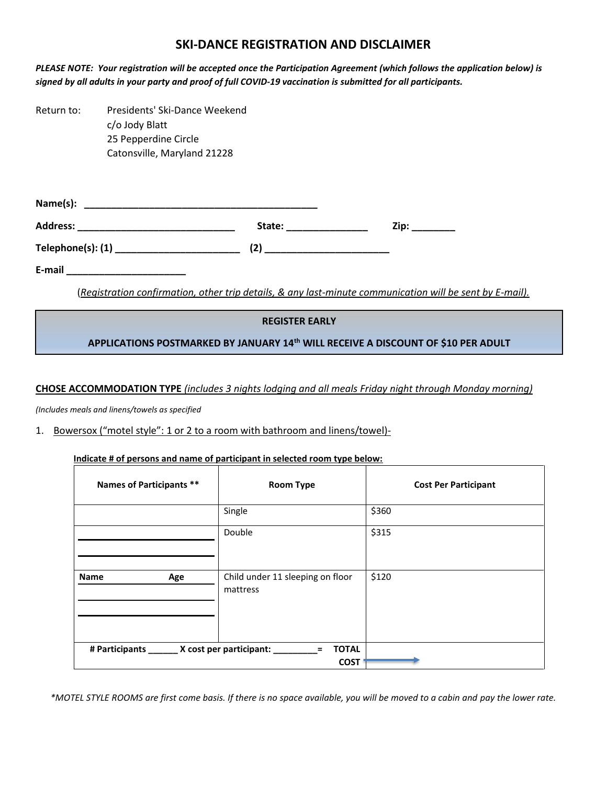## **SKI-DANCE REGISTRATION AND DISCLAIMER**

PLEASE NOTE: Your registration will be accepted once the Participation Agreement (which follows the application below) is signed by all adults in your party and proof of full COVID-19 vaccination is submitted for all participants.

Return to: Presidents' Ski-Dance Weekend c/o Jody Blatt 25 Pepperdine Circle Catonsville, Maryland 21228

| Name(s):          |              |      |
|-------------------|--------------|------|
| <b>Address:</b>   | State:       | Zip: |
| Telephone(s): (1) | $\mathbf{2}$ |      |

**E-mail \_\_\_\_\_\_\_\_\_\_\_\_\_\_\_\_\_\_\_\_\_\_** 

(*Registration confirmation, other trip details, & any last-minute communication will be sent by E-mail).*

## **REGISTER EARLY**

**APPLICATIONS POSTMARKED BY JANUARY 14th WILL RECEIVE A DISCOUNT OF \$10 PER ADULT**

**CHOSE ACCOMMODATION TYPE** *(includes 3 nights lodging and all meals Friday night through Monday morning)*

*(Includes meals and linens/towels as specified*

## 1. Bowersox ("motel style": 1 or 2 to a room with bathroom and linens/towel)-

### **Indicate # of persons and name of participant in selected room type below:**

| Names of Participants **                       | <b>Room Type</b>                             | <b>Cost Per Participant</b> |
|------------------------------------------------|----------------------------------------------|-----------------------------|
|                                                | Single                                       | \$360                       |
|                                                | Double                                       | \$315                       |
| <b>Name</b><br>Age                             | Child under 11 sleeping on floor<br>mattress | \$120                       |
| # Participants _______ X cost per participant: | <b>TOTAL</b><br>$\equiv$                     |                             |
|                                                | <b>COST</b>                                  |                             |

*\*MOTEL STYLE ROOMS are first come basis. If there is no space available, you will be moved to a cabin and pay the lower rate.*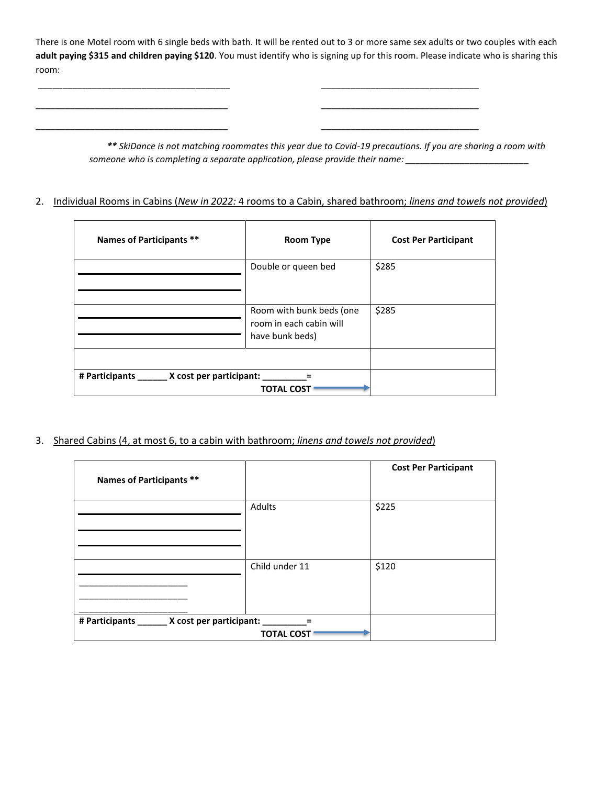There is one Motel room with 6 single beds with bath. It will be rented out to 3 or more same sex adults or two couples with each **adult paying \$315 and children paying \$120**. You must identify who is signing up for this room. Please indicate who is sharing this room:

\_\_\_\_\_\_\_\_\_\_\_\_\_\_\_\_\_\_\_\_\_\_\_\_\_\_\_\_\_\_\_\_\_\_\_\_\_\_\_ \_\_\_\_\_\_\_\_\_\_\_\_\_\_\_\_\_\_\_\_\_\_\_\_\_\_\_\_\_\_\_\_

\_\_\_\_\_\_\_\_\_\_\_\_\_\_\_\_\_\_\_\_\_\_\_\_\_\_\_\_\_\_\_\_\_\_\_\_\_\_\_ \_\_\_\_\_\_\_\_\_\_\_\_\_\_\_\_\_\_\_\_\_\_\_\_\_\_\_\_\_\_\_\_

\_\_\_\_\_\_\_\_\_\_\_\_\_\_\_\_\_\_\_\_\_\_\_\_\_\_\_\_\_\_\_\_\_\_\_\_\_\_\_ \_\_\_\_\_\_\_\_\_\_\_\_\_\_\_\_\_\_\_\_\_\_\_\_\_\_\_\_\_\_\_\_

*\*\* SkiDance is not matching roommates this year due to Covid-19 precautions. If you are sharing a room with someone who is completing a separate application, please provide their name: \_\_\_\_\_\_\_\_\_\_\_\_\_\_\_\_\_\_\_\_\_\_\_\_\_*

## 2. Individual Rooms in Cabins (*New in 2022:* 4 rooms to a Cabin, shared bathroom; *linens and towels not provided*)

| Names of Participants **                       | <b>Room Type</b>                                                       | <b>Cost Per Participant</b> |
|------------------------------------------------|------------------------------------------------------------------------|-----------------------------|
|                                                | Double or queen bed                                                    | \$285                       |
|                                                | Room with bunk beds (one<br>room in each cabin will<br>have bunk beds) | \$285                       |
|                                                |                                                                        |                             |
| # Participants _______ X cost per participant: | <b>TOTAL COST</b>                                                      |                             |

3. Shared Cabins (4, at most 6, to a cabin with bathroom; *linens and towels not provided*)

| <b>Names of Participants **</b>               |                   | <b>Cost Per Participant</b> |
|-----------------------------------------------|-------------------|-----------------------------|
|                                               | Adults            | \$225                       |
|                                               | Child under 11    | \$120                       |
| # Participants ______ X cost per participant: |                   |                             |
|                                               | <b>TOTAL COST</b> |                             |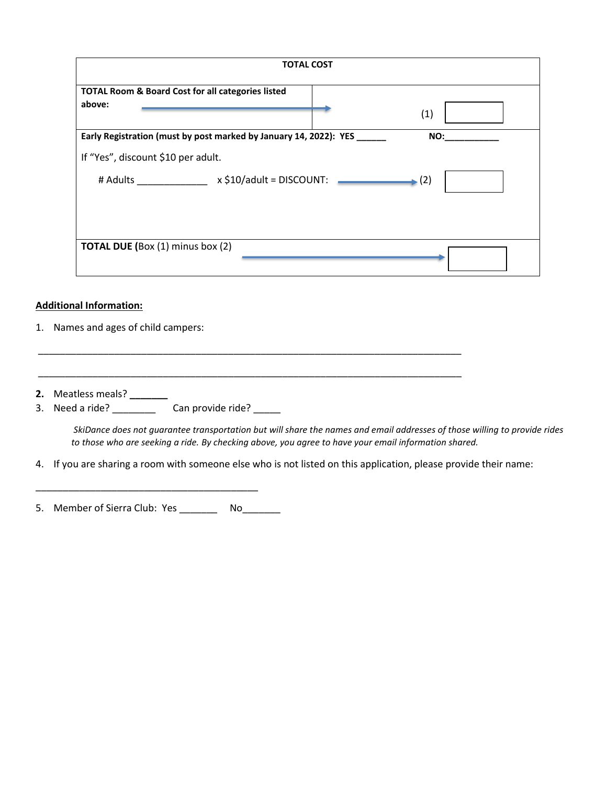|                                                              | <b>TOTAL COST</b>                                                 |                           |  |
|--------------------------------------------------------------|-------------------------------------------------------------------|---------------------------|--|
| <b>TOTAL Room &amp; Board Cost for all categories listed</b> |                                                                   |                           |  |
| above:                                                       |                                                                   | (1)                       |  |
|                                                              | Early Registration (must by post marked by January 14, 2022): YES | NO:                       |  |
| If "Yes", discount \$10 per adult.                           |                                                                   |                           |  |
| # Adults <b>Allen Adults</b>                                 | $x $10/4$ dult = DISCOUNT:                                        | $\blacktriangleright$ (2) |  |
| <b>TOTAL DUE (Box (1) minus box (2)</b>                      |                                                                   |                           |  |

## **Additional Information:**

- 1. Names and ages of child campers:
- **2.** Meatless meals? **\_\_\_\_\_\_\_**
- 3. Need a ride? \_\_\_\_\_\_\_\_\_\_\_ Can provide ride? \_\_\_\_\_

*SkiDance does not guarantee transportation but will share the names and email addresses of those willing to provide rides to those who are seeking a ride. By checking above, you agree to have your email information shared.*

4. If you are sharing a room with someone else who is not listed on this application, please provide their name:

\_\_\_\_\_\_\_\_\_\_\_\_\_\_\_\_\_\_\_\_\_\_\_\_\_\_\_\_\_\_\_\_\_\_\_\_\_\_\_\_\_\_\_\_\_\_\_\_\_\_\_\_\_\_\_\_\_\_\_\_\_\_\_\_\_\_\_\_\_\_\_\_\_\_\_\_\_\_

\_\_\_\_\_\_\_\_\_\_\_\_\_\_\_\_\_\_\_\_\_\_\_\_\_\_\_\_\_\_\_\_\_\_\_\_\_\_\_\_\_\_\_\_\_\_\_\_\_\_\_\_\_\_\_\_\_\_\_\_\_\_\_\_\_\_\_\_\_\_\_\_\_\_\_\_\_\_

5. Member of Sierra Club: Yes \_\_\_\_\_\_\_\_ No\_\_\_\_\_\_\_

\_\_\_\_\_\_\_\_\_\_\_\_\_\_\_\_\_\_\_\_\_\_\_\_\_\_\_\_\_\_\_\_\_\_\_\_\_\_\_\_\_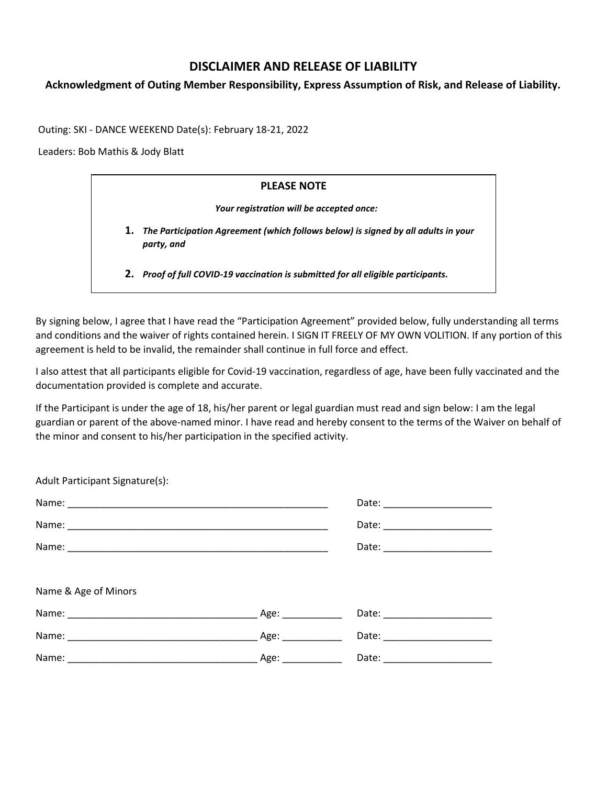# **DISCLAIMER AND RELEASE OF LIABILITY**

## **Acknowledgment of Outing Member Responsibility, Express Assumption of Risk, and Release of Liability.**

Outing: SKI - DANCE WEEKEND Date(s): February 18-21, 2022

Leaders: Bob Mathis & Jody Blatt

# **PLEASE NOTE** *Your registration will be accepted once:* **1.** *The Participation Agreement (which follows below) is signed by all adults in your party, and* **2.** *Proof of full COVID-19 vaccination is submitted for all eligible participants.*

By signing below, I agree that I have read the "Participation Agreement" provided below, fully understanding all terms and conditions and the waiver of rights contained herein. I SIGN IT FREELY OF MY OWN VOLITION. If any portion of this agreement is held to be invalid, the remainder shall continue in full force and effect.

I also attest that all participants eligible for Covid-19 vaccination, regardless of age, have been fully vaccinated and the documentation provided is complete and accurate.

If the Participant is under the age of 18, his/her parent or legal guardian must read and sign below: I am the legal guardian or parent of the above-named minor. I have read and hereby consent to the terms of the Waiver on behalf of the minor and consent to his/her participation in the specified activity.

| Adult Participant Signature(s): |                       |  |
|---------------------------------|-----------------------|--|
|                                 |                       |  |
|                                 |                       |  |
|                                 |                       |  |
|                                 |                       |  |
| Name & Age of Minors            |                       |  |
|                                 | Date: _______________ |  |
|                                 |                       |  |
|                                 |                       |  |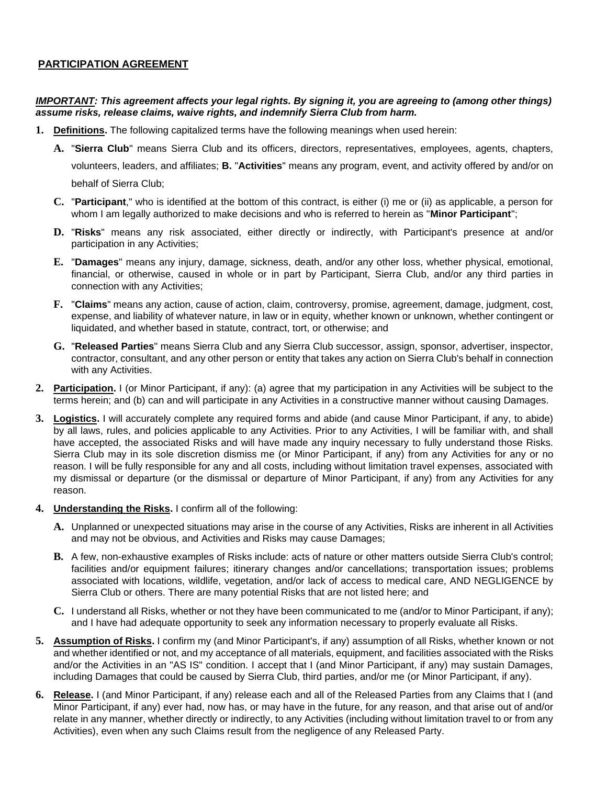### **PARTICIPATION AGREEMENT**

## *IMPORTANT: This agreement affects your legal rights. By signing it, you are agreeing to (among other things) assume risks, release claims, waive rights, and indemnify Sierra Club from harm.*

- **1. Definitions.** The following capitalized terms have the following meanings when used herein:
	- **A.** "**Sierra Club**" means Sierra Club and its officers, directors, representatives, employees, agents, chapters,

volunteers, leaders, and affiliates; **B.** "**Activities**" means any program, event, and activity offered by and/or on behalf of Sierra Club;

- **C.** "**Participant**," who is identified at the bottom of this contract, is either (i) me or (ii) as applicable, a person for whom I am legally authorized to make decisions and who is referred to herein as "**Minor Participant**";
- **D.** "**Risks**" means any risk associated, either directly or indirectly, with Participant's presence at and/or participation in any Activities;
- **E.** "**Damages**" means any injury, damage, sickness, death, and/or any other loss, whether physical, emotional, financial, or otherwise, caused in whole or in part by Participant, Sierra Club, and/or any third parties in connection with any Activities;
- **F.** "**Claims**" means any action, cause of action, claim, controversy, promise, agreement, damage, judgment, cost, expense, and liability of whatever nature, in law or in equity, whether known or unknown, whether contingent or liquidated, and whether based in statute, contract, tort, or otherwise; and
- **G.** "**Released Parties**" means Sierra Club and any Sierra Club successor, assign, sponsor, advertiser, inspector, contractor, consultant, and any other person or entity that takes any action on Sierra Club's behalf in connection with any Activities.
- **2. Participation.** I (or Minor Participant, if any): (a) agree that my participation in any Activities will be subject to the terms herein; and (b) can and will participate in any Activities in a constructive manner without causing Damages.
- **3. Logistics.** I will accurately complete any required forms and abide (and cause Minor Participant, if any, to abide) by all laws, rules, and policies applicable to any Activities. Prior to any Activities, I will be familiar with, and shall have accepted, the associated Risks and will have made any inquiry necessary to fully understand those Risks. Sierra Club may in its sole discretion dismiss me (or Minor Participant, if any) from any Activities for any or no reason. I will be fully responsible for any and all costs, including without limitation travel expenses, associated with my dismissal or departure (or the dismissal or departure of Minor Participant, if any) from any Activities for any reason.
- **4. Understanding the Risks.** I confirm all of the following:
	- **A.** Unplanned or unexpected situations may arise in the course of any Activities, Risks are inherent in all Activities and may not be obvious, and Activities and Risks may cause Damages;
	- **B.** A few, non-exhaustive examples of Risks include: acts of nature or other matters outside Sierra Club's control; facilities and/or equipment failures; itinerary changes and/or cancellations; transportation issues; problems associated with locations, wildlife, vegetation, and/or lack of access to medical care, AND NEGLIGENCE by Sierra Club or others. There are many potential Risks that are not listed here; and
	- **C.** I understand all Risks, whether or not they have been communicated to me (and/or to Minor Participant, if any); and I have had adequate opportunity to seek any information necessary to properly evaluate all Risks.
- **5. Assumption of Risks.** I confirm my (and Minor Participant's, if any) assumption of all Risks, whether known or not and whether identified or not, and my acceptance of all materials, equipment, and facilities associated with the Risks and/or the Activities in an "AS IS" condition. I accept that I (and Minor Participant, if any) may sustain Damages, including Damages that could be caused by Sierra Club, third parties, and/or me (or Minor Participant, if any).
- **6. Release.** I (and Minor Participant, if any) release each and all of the Released Parties from any Claims that I (and Minor Participant, if any) ever had, now has, or may have in the future, for any reason, and that arise out of and/or relate in any manner, whether directly or indirectly, to any Activities (including without limitation travel to or from any Activities), even when any such Claims result from the negligence of any Released Party.